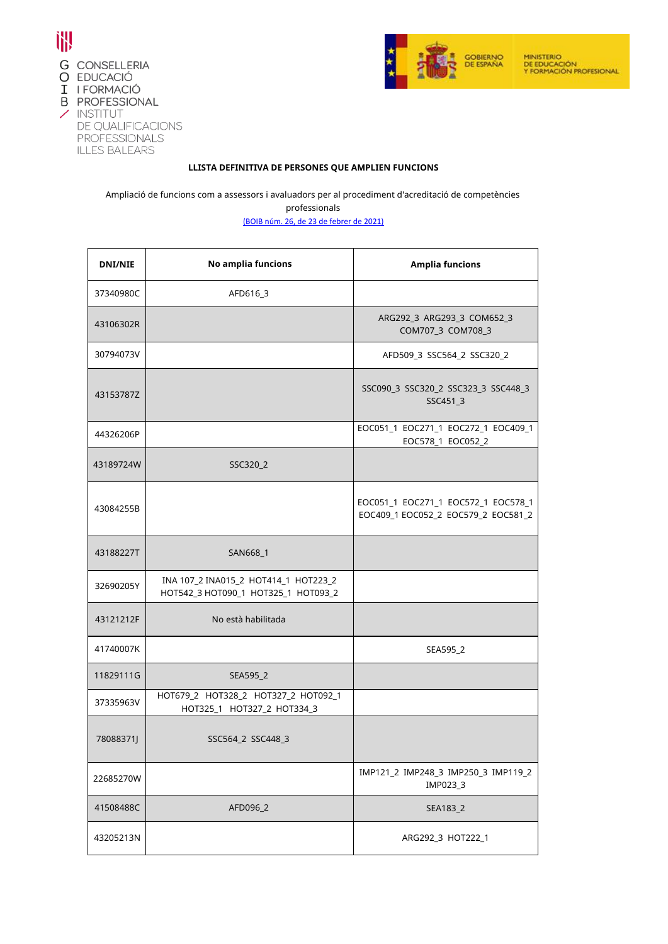



## **LLISTA DEFINITIVA DE PERSONES QUE AMPLIEN FUNCIONS**

Ampliació de funcions com a assessors i avaluadors per al procediment d'acreditació de competències

professionals

[\(](C:/Users/x43203986/AppData/Local/Temp/1666.pdf)BOIB núm. 26, de 23 de febrer de 2021)

| <b>DNI/NIE</b> | No amplia funcions                                                          | <b>Amplia funcions</b>                                                     |
|----------------|-----------------------------------------------------------------------------|----------------------------------------------------------------------------|
| 37340980C      | AFD616_3                                                                    |                                                                            |
| 43106302R      |                                                                             | ARG292_3 ARG293_3 COM652_3<br>COM707_3 COM708_3                            |
| 30794073V      |                                                                             | AFD509_3 SSC564_2 SSC320_2                                                 |
| 43153787Z      |                                                                             | SSC090_3 SSC320_2 SSC323_3 SSC448_3<br>SSC451_3                            |
| 44326206P      |                                                                             | EOC051_1 EOC271_1 EOC272_1 EOC409_1<br>EOC578_1 EOC052_2                   |
| 43189724W      | SSC320_2                                                                    |                                                                            |
| 43084255B      |                                                                             | EOC051_1 EOC271_1 EOC572_1 EOC578_1<br>EOC409_1 EOC052_2 EOC579_2 EOC581_2 |
| 43188227T      | SAN668_1                                                                    |                                                                            |
| 32690205Y      | INA 107_2 INA015_2 HOT414_1 HOT223_2<br>НОТ542_3 НОТ090_1 НОТ325_1 НОТ093_2 |                                                                            |
| 43121212F      | No està habilitada                                                          |                                                                            |
| 41740007K      |                                                                             | SEA595_2                                                                   |
| 11829111G      | SEA595_2                                                                    |                                                                            |
| 37335963V      | НОТ679_2 НОТ328_2 НОТ327_2 НОТ092_1<br>HOT325_1 HOT327_2 HOT334_3           |                                                                            |
| 78088371J      | SSC564_2 SSC448_3                                                           |                                                                            |
| 22685270W      |                                                                             | IMP121_2 IMP248_3 IMP250_3 IMP119_2<br>IMP023_3                            |
| 41508488C      | AFD096_2                                                                    | SEA183_2                                                                   |
| 43205213N      |                                                                             | ARG292 3 HOT222 1                                                          |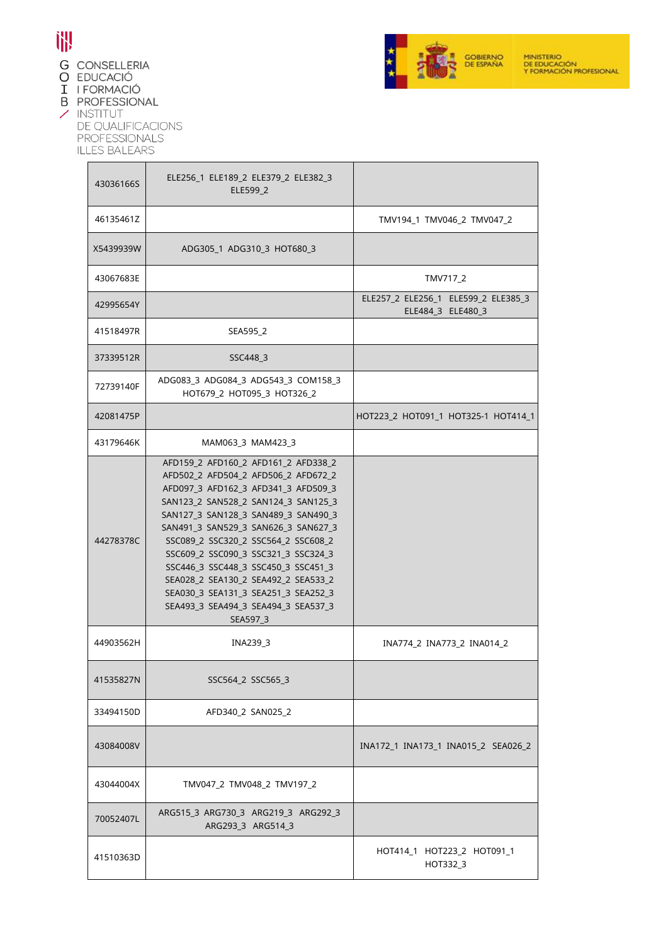

- **G** CONSELLERIA
- O EDUCACIÓ
- I I FORMACIÓ
- **B** PROFESSIONAL

 $\angle$  INSTITUT DE QUALIFICACIONS PROFESSIONALS<br>ILLES BALEARS

| 43036166S | ELE256_1 ELE189_2 ELE379_2 ELE382_3<br>ELE599 2                                                                                                                                                                                                                                                                                                                                                                                                                                              |                                                          |
|-----------|----------------------------------------------------------------------------------------------------------------------------------------------------------------------------------------------------------------------------------------------------------------------------------------------------------------------------------------------------------------------------------------------------------------------------------------------------------------------------------------------|----------------------------------------------------------|
| 46135461Z |                                                                                                                                                                                                                                                                                                                                                                                                                                                                                              | TMV194_1 TMV046_2 TMV047_2                               |
| X5439939W | ADG305_1 ADG310_3 HOT680_3                                                                                                                                                                                                                                                                                                                                                                                                                                                                   |                                                          |
| 43067683E |                                                                                                                                                                                                                                                                                                                                                                                                                                                                                              | TMV717_2                                                 |
| 42995654Y |                                                                                                                                                                                                                                                                                                                                                                                                                                                                                              | ELE257_2 ELE256_1 ELE599_2 ELE385_3<br>ELE484_3 ELE480_3 |
| 41518497R | SEA595_2                                                                                                                                                                                                                                                                                                                                                                                                                                                                                     |                                                          |
| 37339512R | SSC448 3                                                                                                                                                                                                                                                                                                                                                                                                                                                                                     |                                                          |
| 72739140F | ADG083_3 ADG084_3 ADG543_3 COM158_3<br>НОТ679_2 НОТ095_3 НОТ326_2                                                                                                                                                                                                                                                                                                                                                                                                                            |                                                          |
| 42081475P |                                                                                                                                                                                                                                                                                                                                                                                                                                                                                              | HOT223_2 HOT091_1 HOT325-1 HOT414_1                      |
| 43179646K | MAM063 3 MAM423 3                                                                                                                                                                                                                                                                                                                                                                                                                                                                            |                                                          |
| 44278378C | AFD159 2 AFD160 2 AFD161 2 AFD338 2<br>AFD502_2 AFD504_2 AFD506_2 AFD672_2<br>AFD097_3 AFD162_3 AFD341_3 AFD509_3<br>SAN123_2 SAN528_2 SAN124_3 SAN125_3<br>SAN127 3 SAN128 3 SAN489 3 SAN490 3<br>SAN491_3 SAN529_3 SAN626_3 SAN627_3<br>SSC089_2 SSC320_2 SSC564_2 SSC608_2<br>SSC609 2 SSC090 3 SSC321 3 SSC324 3<br>SSC446_3 SSC448_3 SSC450_3 SSC451_3<br>SEA028_2 SEA130_2 SEA492_2 SEA533_2<br>SEA030_3 SEA131_3 SEA251_3 SEA252_3<br>SEA493_3 SEA494_3 SEA494_3 SEA537_3<br>SEA597_3 |                                                          |
| 44903562H | INA239_3                                                                                                                                                                                                                                                                                                                                                                                                                                                                                     | INA774_2 INA773_2 INA014_2                               |
| 41535827N | SSC564_2 SSC565_3                                                                                                                                                                                                                                                                                                                                                                                                                                                                            |                                                          |
| 33494150D | AFD340 2 SAN025 2                                                                                                                                                                                                                                                                                                                                                                                                                                                                            |                                                          |
| 43084008V |                                                                                                                                                                                                                                                                                                                                                                                                                                                                                              | INA172_1 INA173_1 INA015_2 SEA026_2                      |
| 43044004X | TMV047 2 TMV048 2 TMV197 2                                                                                                                                                                                                                                                                                                                                                                                                                                                                   |                                                          |
| 70052407L | ARG515_3 ARG730_3 ARG219_3 ARG292_3<br>ARG293 3 ARG514 3                                                                                                                                                                                                                                                                                                                                                                                                                                     |                                                          |
| 41510363D |                                                                                                                                                                                                                                                                                                                                                                                                                                                                                              | HOT414_1 HOT223_2 HOT091_1<br>HOT332 3                   |